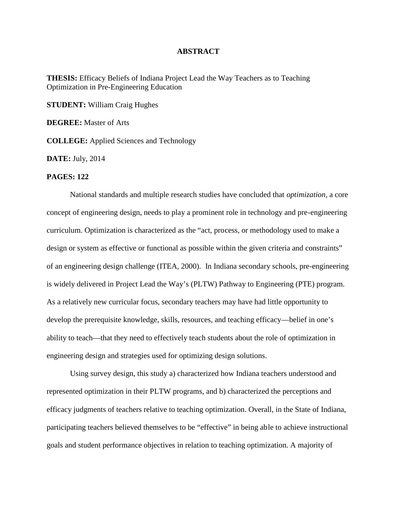## **ABSTRACT**

**THESIS:** Efficacy Beliefs of Indiana Project Lead the Way Teachers as to Teaching Optimization in Pre-Engineering Education

**STUDENT:** William Craig Hughes

**DEGREE:** Master of Arts

**COLLEGE:** Applied Sciences and Technology

**DATE:** July, 2014

## **PAGES: 122**

National standards and multiple research studies have concluded that *optimization*, a core concept of engineering design, needs to play a prominent role in technology and pre-engineering curriculum. Optimization is characterized as the "act, process, or methodology used to make a design or system as effective or functional as possible within the given criteria and constraints" of an engineering design challenge (ITEA, 2000). In Indiana secondary schools, pre-engineering is widely delivered in Project Lead the Way's (PLTW) Pathway to Engineering (PTE) program. As a relatively new curricular focus, secondary teachers may have had little opportunity to develop the prerequisite knowledge, skills, resources, and teaching efficacy—belief in one's ability to teach—that they need to effectively teach students about the role of optimization in engineering design and strategies used for optimizing design solutions.

Using survey design, this study a) characterized how Indiana teachers understood and represented optimization in their PLTW programs, and b) characterized the perceptions and efficacy judgments of teachers relative to teaching optimization. Overall, in the State of Indiana, participating teachers believed themselves to be "effective" in being able to achieve instructional goals and student performance objectives in relation to teaching optimization. A majority of